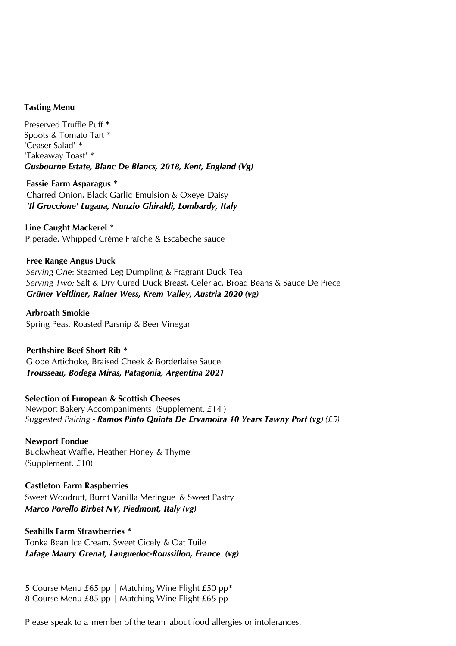#### **Tasting Menu**

Preserved Truffle Puff **\*** Spoots & Tomato Tart \* 'Ceaser Salad' \* 'Takeaway Toast' \* *Gusbourne Estate, Blanc De Blancs, 2018, Kent, England (Vg)*

**Eassie Farm Asparagus \*** Charred Onion, Black Garlic Emulsion & Oxeye Daisy *'Il Gruccione' Lugana, Nunzio Ghiraldi, Lombardy, Italy*

**Line Caught Mackerel \*** Piperade, Whipped Crème Fraîche & Escabeche sauce

**Free Range Angus Duck** *Serving One*: Steamed Leg Dumpling & Fragrant Duck Tea *Serving Two:* Salt & Dry Cured Duck Breast, Celeriac, Broad Beans & Sauce De Piece *Grüner Veltliner, Rainer Wess, Krem Valley, Austria 2020 (vg)*

**Arbroath Smokie** Spring Peas, Roasted Parsnip & Beer Vinegar

**Perthshire Beef Short Rib \*** Globe Artichoke, Braised Cheek & Borderlaise Sauce *Trousseau, Bodega Miras, Patagonia, Argentina 2021* 

#### **Selection of European & Scottish Cheeses**

Newport Bakery Accompaniments (Supplement. £14 ) *Suggested Pairing - Ramos Pinto Quinta De Ervamoira 10 Years Tawny Port (vg) (£5)*

**Newport Fondue** Buckwheat Waffle, Heather Honey & Thyme (Supplement. £10)

**Castleton Farm Raspberries** Sweet Woodruff, Burnt Vanilla Meringue & Sweet Pastry *Marco Porello Birbet NV, Piedmont, Italy (vg)*

#### **Seahills Farm Strawberries \***

Tonka Bean Ice Cream, Sweet Cicely & Oat Tuile *Lafage Maury Grenat, Languedoc-Roussillon, France (vg)*

5 Course Menu £65 pp | Matching Wine Flight £50 pp\* 8 Course Menu £85 pp | Matchi[ng Wine Flight £65 pp](http://www.thenewportrestaurant.co.uk/)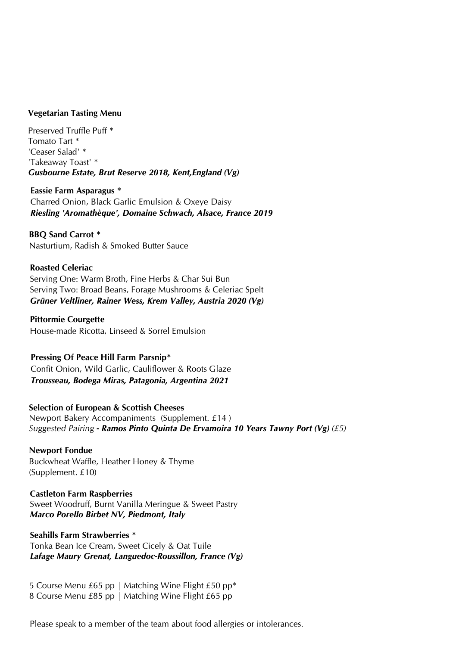#### **Vegetarian Tasting Menu**

Preserved Truffle Puff \* Tomato Tart \* 'Ceaser Salad' \* 'Takeaway Toast' \* *Gusbourne Estate, Brut Reserve 2018, Kent,England (Vg)*

**Eassie Farm Asparagus \*** Charred Onion, Black Garlic Emulsion & Oxeye Daisy *Riesling 'Aromathèque', Domaine Schwach, Alsace, France 2019*

**BBQ Sand Carrot \*** Nasturtium, Radish & Smoked Butter Sauce

# **Roasted Celeriac**

Serving One: Warm Broth, Fine Herbs & Char Sui Bun Serving Two: Broad Beans, Forage Mushrooms & Celeriac Spelt *Grüner Veltliner, Rainer Wess, Krem Valley, Austria 2020 (Vg)*

**Pittormie Courgette** House-made Ricotta, Linseed & Sorrel Emulsion

#### **Pressing Of Peace Hill Farm Parsnip\***

Confit Onion, Wild Garlic, Cauliflower & Roots Glaze *Trousseau, Bodega Miras, Patagonia, Argentina 2021* 

## **Selection of European & Scottish Cheeses**

Newport Bakery Accompaniments (Supplement. £14 ) *Suggested Pairing - Ramos Pinto Quinta De Ervamoira 10 Years Tawny Port (Vg) (£5)*

# **Newport Fondue**

Buckwheat Waffle, Heather Honey & Thyme (Supplement. £10)

**Castleton Farm Raspberries**

Sweet Woodruff, Burnt Vanilla Meringue & Sweet Pastry *Marco Porello Birbet NV, Piedmont, Italy* 

# **Seahills Farm Strawberries \***

Tonka Bean Ice Cream, Sweet Cicely & Oat Tuile *Lafage Maury Grenat, Languedoc-Roussillon, France (Vg)*

5 Course Menu £65 pp | Matching Wine Flight £50 pp\* 8 Course Menu £85 pp | Matching Wine Flight £65 pp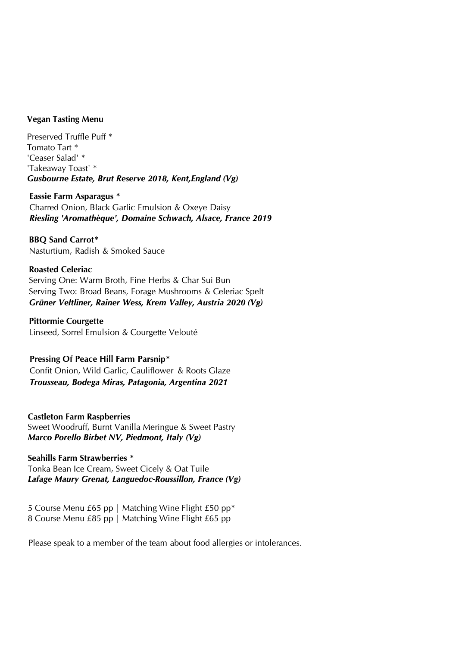#### **Vegan Tasting Menu**

Preserved Truffle Puff \* Tomato Tart \* 'Ceaser Salad' \* 'Takeaway Toast' \* *Gusbourne Estate, Brut Reserve 2018, Kent,England (Vg)*

**Eassie Farm Asparagus \*** Charred Onion, Black Garlic Emulsion & Oxeye Daisy *Riesling 'Aromathèque', Domaine Schwach, Alsace, France 2019*

**BBQ Sand Carrot\*** Nasturtium, Radish & Smoked Sauce

#### **Roasted Celeriac**

Serving One: Warm Broth, Fine Herbs & Char Sui Bun Serving Two: Broad Beans, Forage Mushrooms & Celeriac Spelt *Grüner Veltliner, Rainer Wess, Krem Valley, Austria 2020 (Vg)*

**Pittormie Courgette** Linseed, Sorrel Emulsion & Courgette Velouté

#### **Pressing Of Peace Hill Farm Parsnip\***

Confit Onion, Wild Garlic, Cauliflower & Roots Glaze *Trousseau, Bodega Miras, Patagonia, Argentina 2021*

**Castleton Farm Raspberries**

Sweet Woodruff, Burnt Vanilla Meringue & Sweet Pastry *Marco Porello Birbet NV, Piedmont, Italy (Vg)*

**Seahills Farm Strawberries \*** Tonka Bean Ice Cream, Sweet Cicely & Oat Tuile *Lafage Maury Grenat, Languedoc-Roussillon, France (Vg)*

5 Course Menu £65 pp | Matching Wine Flight £50 pp\* 8 Course Menu £85 pp | Matching Wine Flight £65 pp